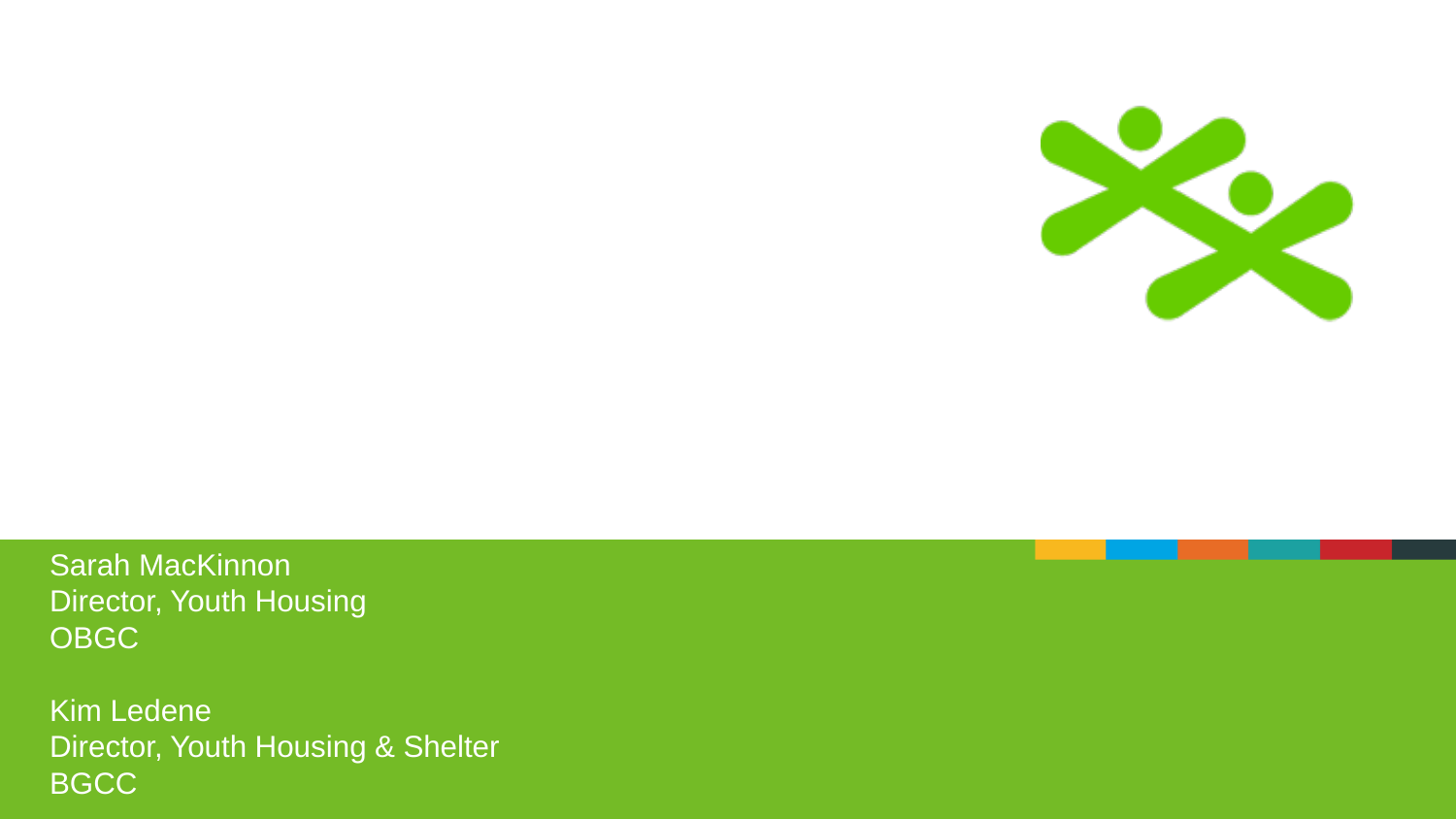

Sarah MacKinnon Director, Youth Housing OBGC

Kim Ledene Director, Youth Housing & Shelter **BGCC**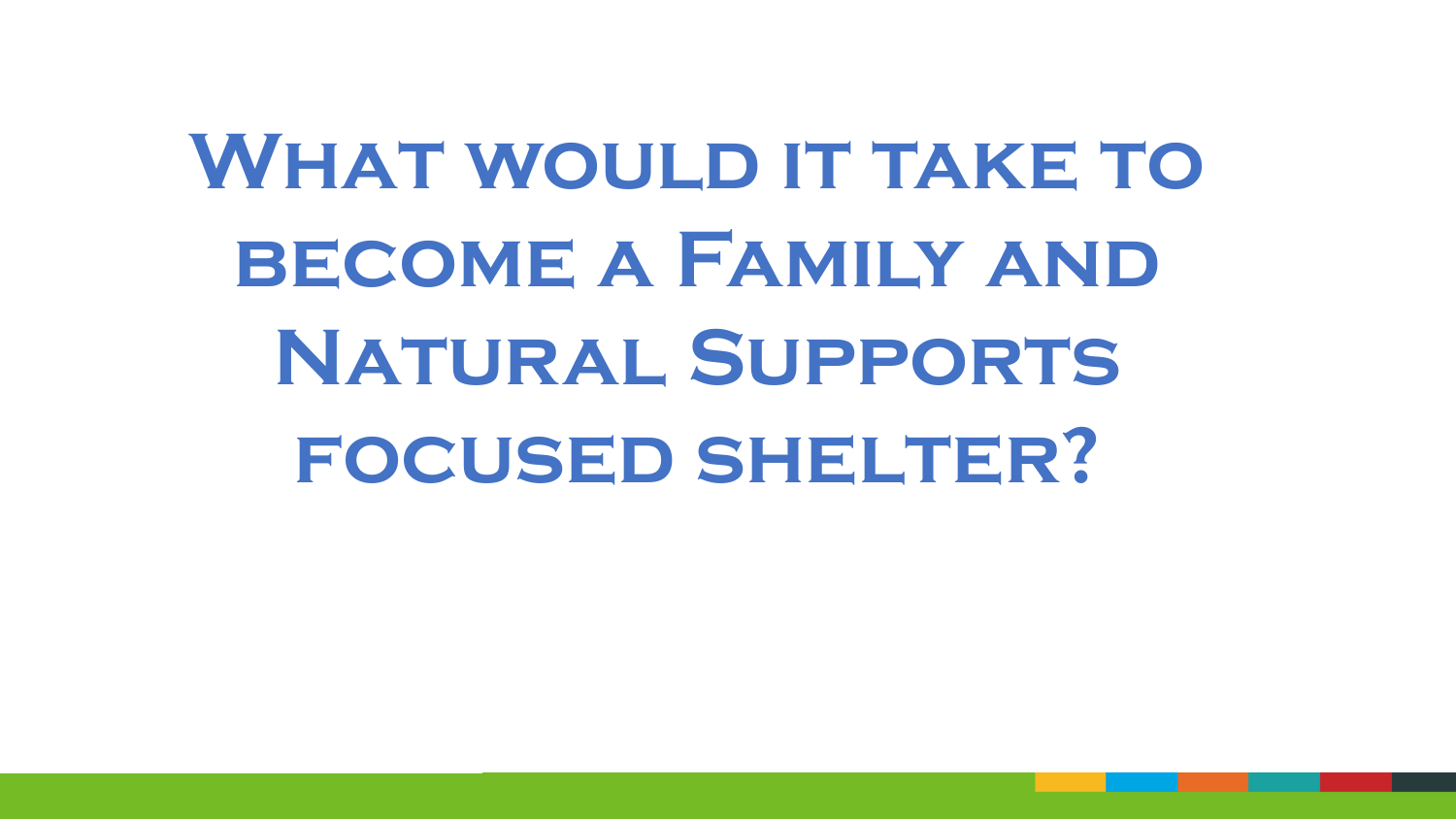# **WHAT WOULD IT TAKE TO become a Family and Natural Supports focused shelter?**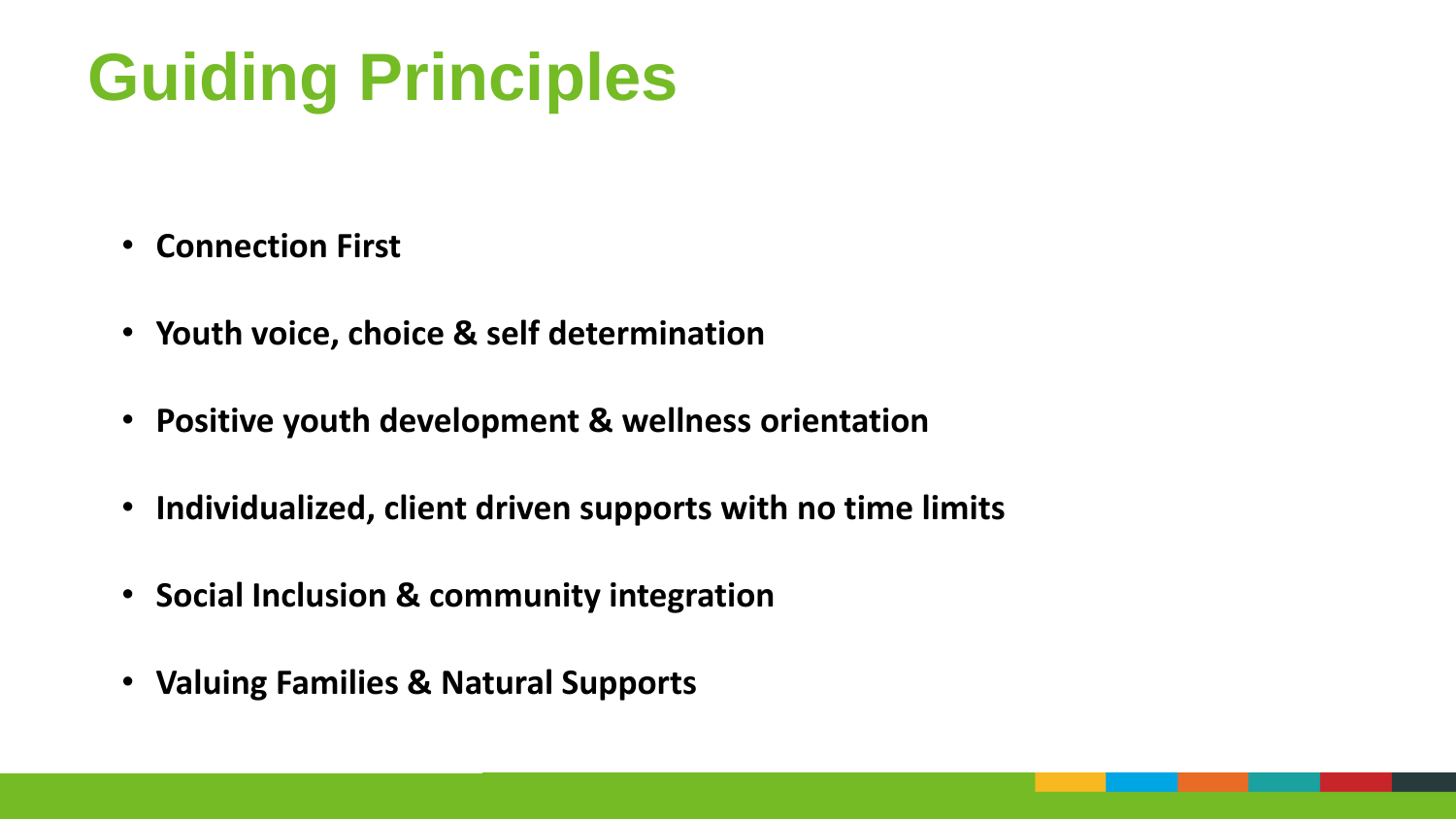## **Guiding Principles**

- **Connection First**
- **Youth voice, choice & self determination**
- **Positive youth development & wellness orientation**
- **Individualized, client driven supports with no time limits**
- **Social Inclusion & community integration**
- **Valuing Families & Natural Supports**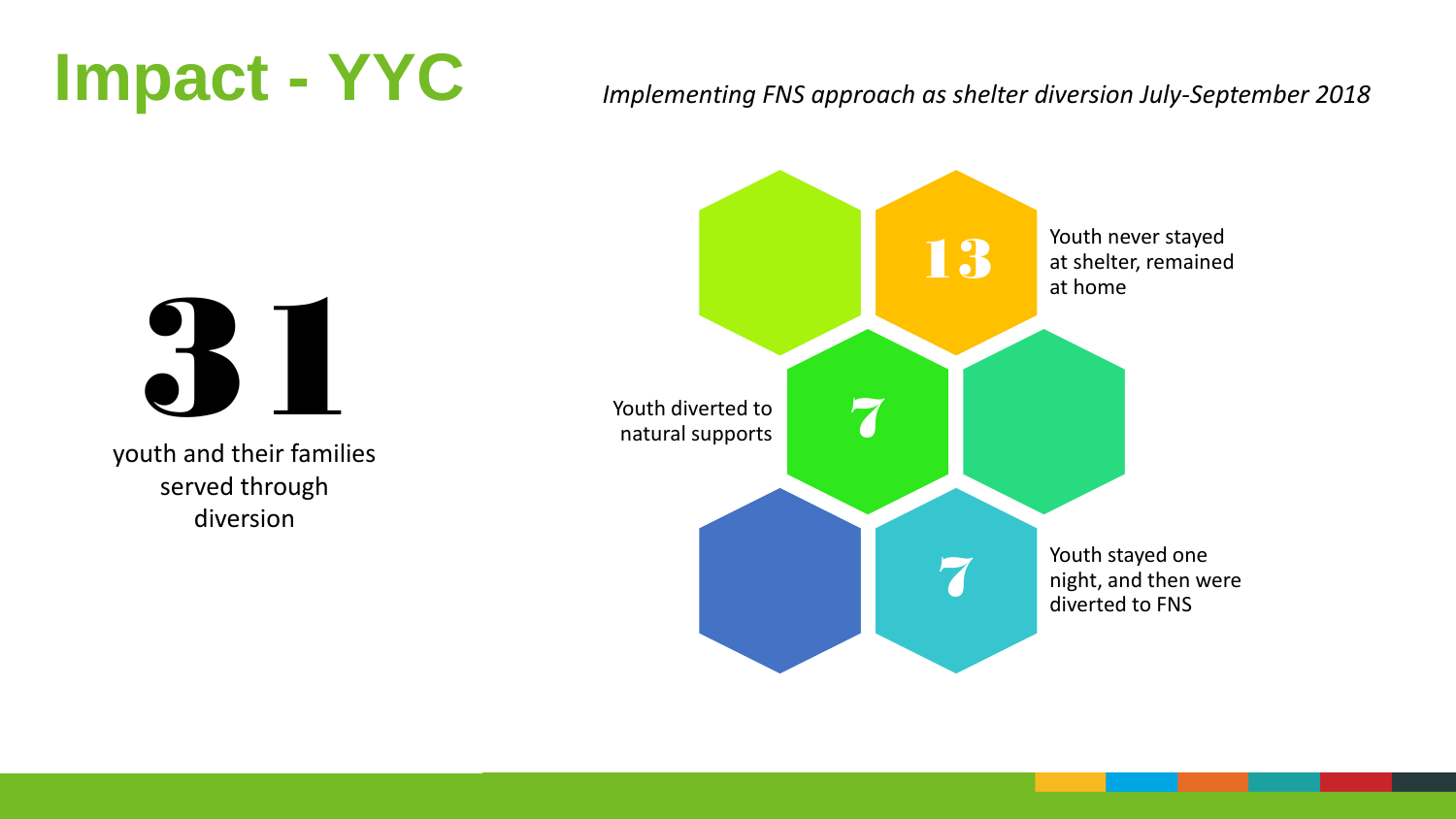### **Impact - YYC**

#### *Implementing FNS approach as shelter diversion July-September 2018*



31

youth and their families served through diversion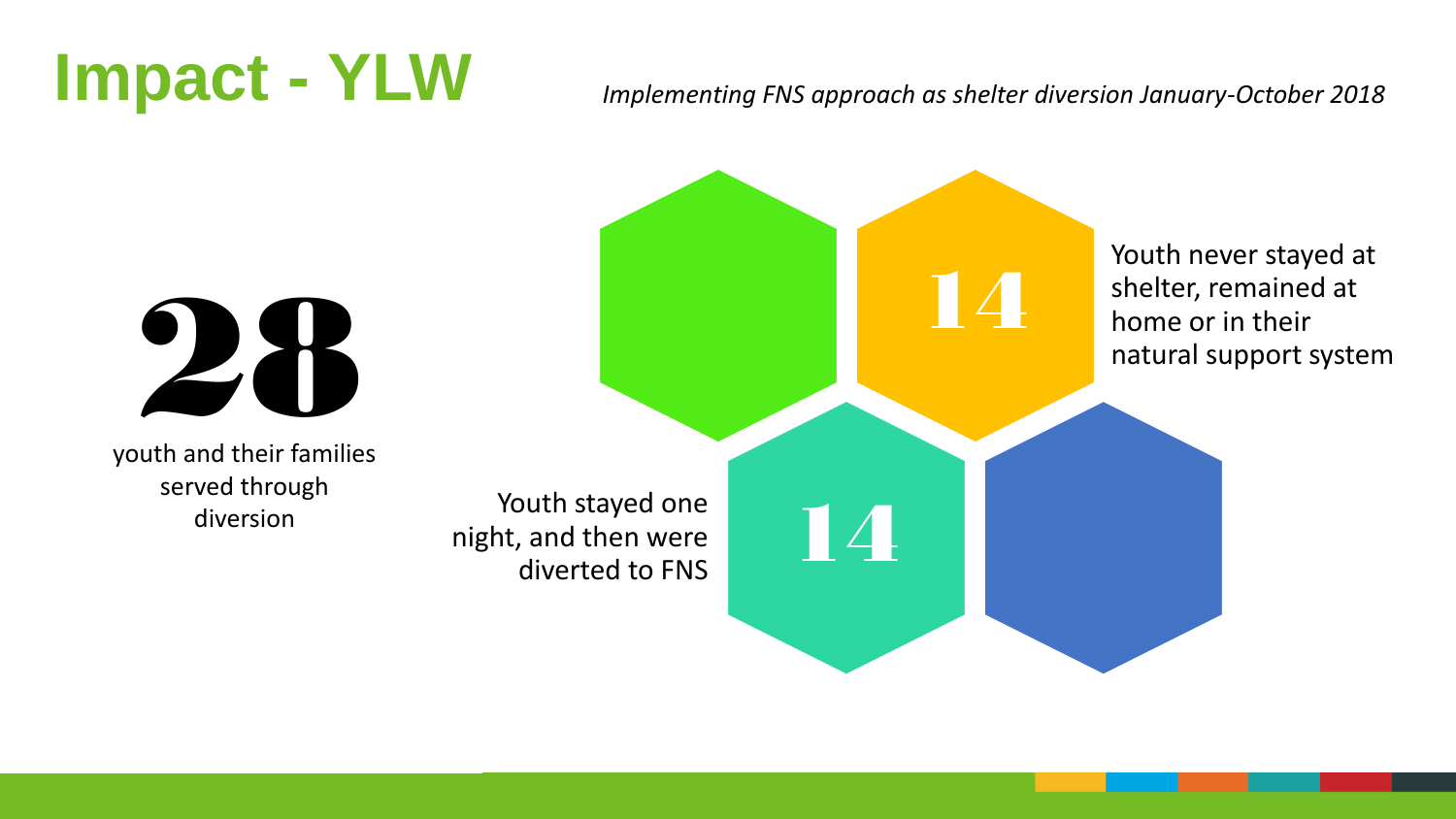#### **Impact - YLW**

#### *Implementing FNS approach as shelter diversion January-October 2018*





youth and their families served through diversion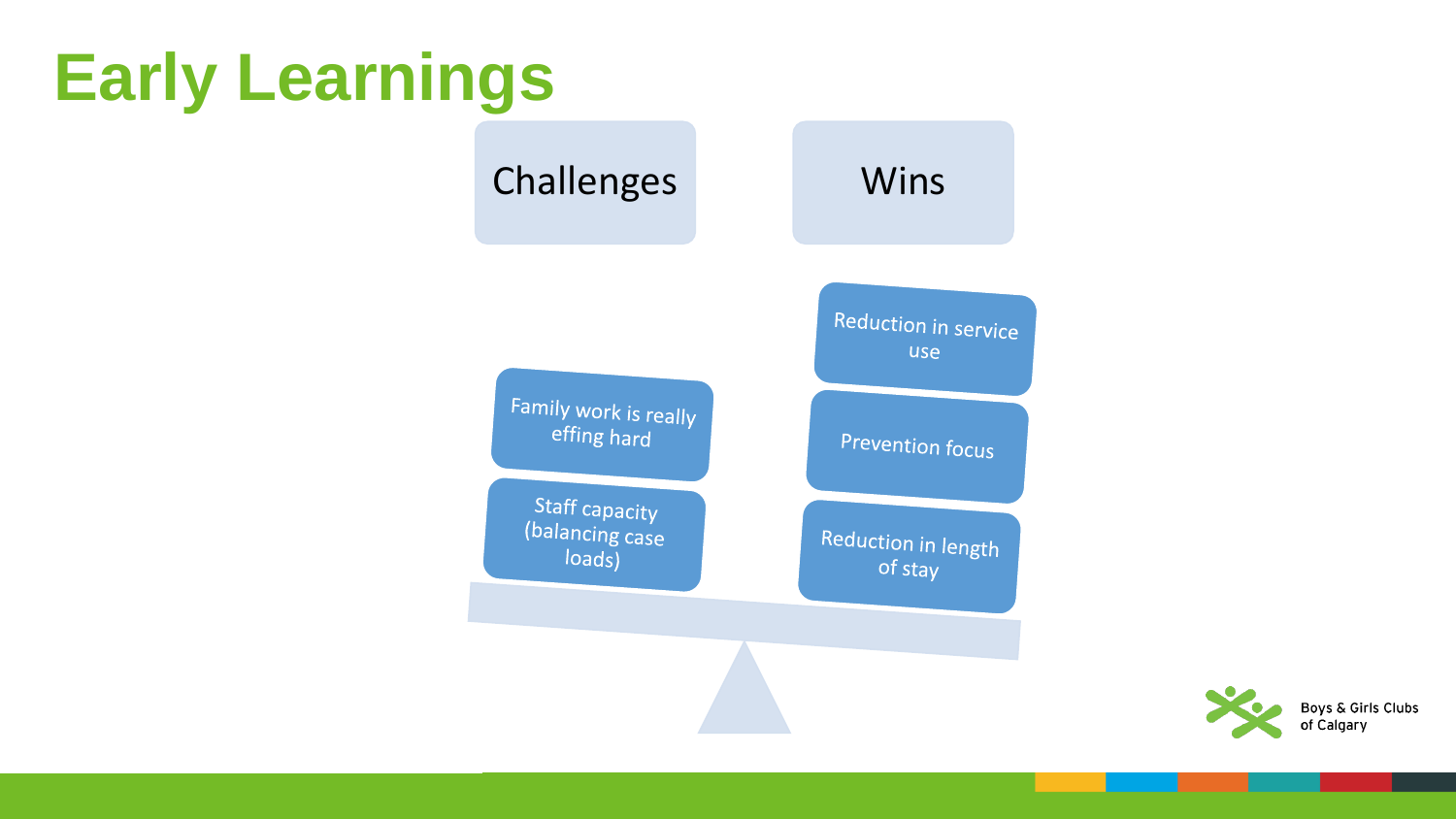### **Early Learnings**



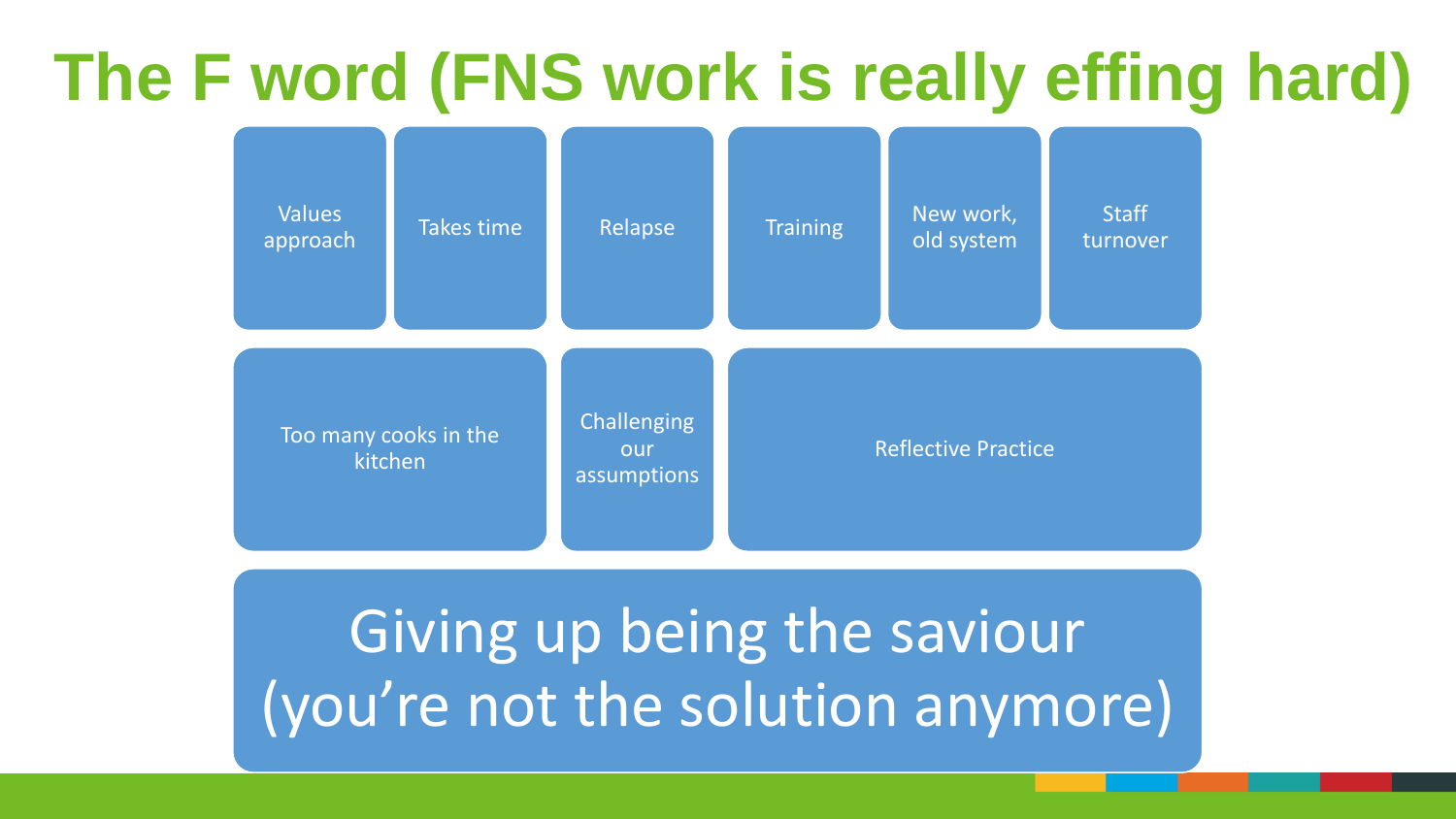#### **The F word (FNS work is really effing hard)**



#### Giving up being the saviour (you're not the solution anymore)